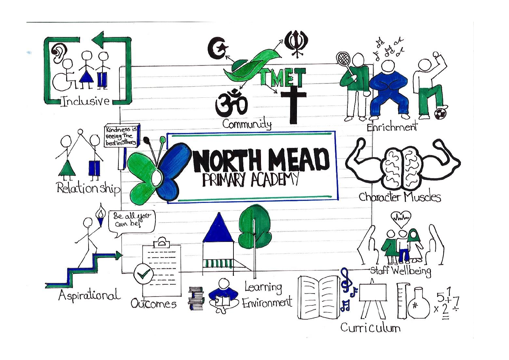